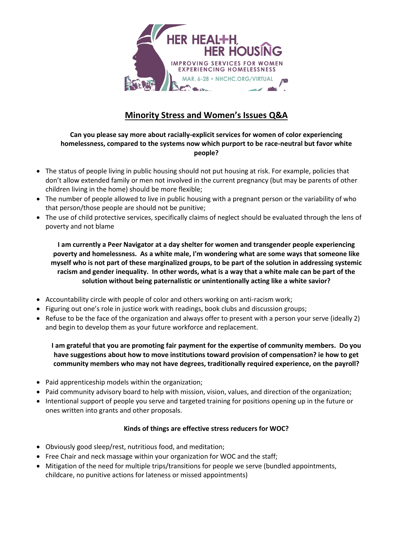

# **Minority Stress and Women's Issues Q&A**

#### **Can you please say more about racially-explicit services for women of color experiencing homelessness, compared to the systems now which purport to be race-neutral but favor white people?**

- The status of people living in public housing should not put housing at risk. For example, policies that don't allow extended family or men not involved in the current pregnancy (but may be parents of other children living in the home) should be more flexible;
- The number of people allowed to live in public housing with a pregnant person or the variability of who that person/those people are should not be punitive;
- The use of child protective services, specifically claims of neglect should be evaluated through the lens of poverty and not blame

**I am currently a Peer Navigator at a day shelter for women and transgender people experiencing poverty and homelessness. As a white male, I'm wondering what are some ways that someone like myself who is not part of these marginalized groups, to be part of the solution in addressing systemic racism and gender inequality. In other words, what is a way that a white male can be part of the solution without being paternalistic or unintentionally acting like a white savior?**

- Accountability circle with people of color and others working on anti-racism work;
- Figuring out one's role in justice work with readings, book clubs and discussion groups;
- Refuse to be the face of the organization and always offer to present with a person your serve (ideally 2) and begin to develop them as your future workforce and replacement.

**I am grateful that you are promoting fair payment for the expertise of community members. Do you have suggestions about how to move institutions toward provision of compensation? ie how to get community members who may not have degrees, traditionally required experience, on the payroll?**

- Paid apprenticeship models within the organization;
- Paid community advisory board to help with mission, vision, values, and direction of the organization;
- Intentional support of people you serve and targeted training for positions opening up in the future or ones written into grants and other proposals.

## **Kinds of things are effective stress reducers for WOC?**

- Obviously good sleep/rest, nutritious food, and meditation;
- Free Chair and neck massage within your organization for WOC and the staff;
- Mitigation of the need for multiple trips/transitions for people we serve (bundled appointments, childcare, no punitive actions for lateness or missed appointments)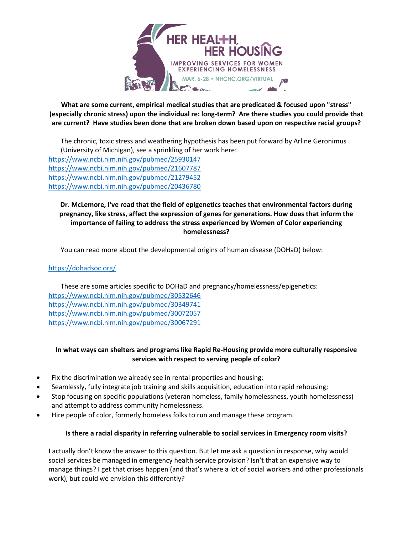

**What are some current, empirical medical studies that are predicated & focused upon "stress" (especially chronic stress) upon the individual re: long-term? Are there studies you could provide that are current? Have studies been done that are broken down based upon on respective racial groups?**

The chronic, toxic stress and weathering hypothesis has been put forward by Arline Geronimus (University of Michigan), see a sprinkling of her work here: <https://www.ncbi.nlm.nih.gov/pubmed/25930147> <https://www.ncbi.nlm.nih.gov/pubmed/21607787> <https://www.ncbi.nlm.nih.gov/pubmed/21279452> <https://www.ncbi.nlm.nih.gov/pubmed/20436780>

## **Dr. McLemore, I've read that the field of epigenetics teaches that environmental factors during pregnancy, like stress, affect the expression of genes for generations. How does that inform the importance of failing to address the stress experienced by Women of Color experiencing homelessness?**

You can read more about the developmental origins of human disease (DOHaD) below:

## <https://dohadsoc.org/>

These are some articles specific to DOHaD and pregnancy/homelessness/epigenetics: <https://www.ncbi.nlm.nih.gov/pubmed/30532646> <https://www.ncbi.nlm.nih.gov/pubmed/30349741> <https://www.ncbi.nlm.nih.gov/pubmed/30072057> <https://www.ncbi.nlm.nih.gov/pubmed/30067291>

#### **In what ways can shelters and programs like Rapid Re-Housing provide more culturally responsive services with respect to serving people of color?**

- Fix the discrimination we already see in rental properties and housing;
- Seamlessly, fully integrate job training and skills acquisition, education into rapid rehousing;
- Stop focusing on specific populations (veteran homeless, family homelessness, youth homelessness) and attempt to address community homelessness.
- Hire people of color, formerly homeless folks to run and manage these program.

#### **Is there a racial disparity in referring vulnerable to social services in Emergency room visits?**

I actually don't know the answer to this question. But let me ask a question in response, why would social services be managed in emergency health service provision? Isn't that an expensive way to manage things? I get that crises happen (and that's where a lot of social workers and other professionals work), but could we envision this differently?